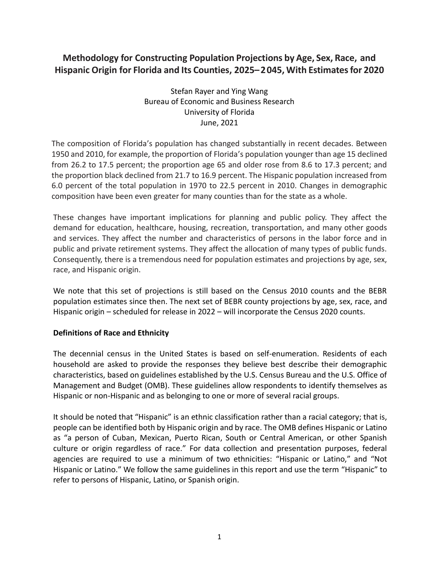# **Methodology for Constructing Population Projections by Age, Sex, Race, and Hispanic Origin for Florida and Its Counties, 2025–2045, With Estimatesfor 2020**

Stefan Rayer and Ying Wang Bureau of Economic and Business Research University of Florida June, 2021

The composition of Florida's population has changed substantially in recent decades. Between 1950 and 2010, for example, the proportion of Florida's population younger than age 15 declined from 26.2 to 17.5 percent; the proportion age 65 and older rose from 8.6 to 17.3 percent; and the proportion black declined from 21.7 to 16.9 percent. The Hispanic population increased from 6.0 percent of the total population in 1970 to 22.5 percent in 2010. Changes in demographic composition have been even greater for many counties than for the state as a whole.

These changes have important implications for planning and public policy. They affect the demand for education, healthcare, housing, recreation, transportation, and many other goods and services. They affect the number and characteristics of persons in the labor force and in public and private retirement systems. They affect the allocation of many types of public funds. Consequently, there is a tremendous need for population estimates and projections by age, sex, race, and Hispanic origin.

We note that this set of projections is still based on the Census 2010 counts and the BEBR population estimates since then. The next set of BEBR county projections by age, sex, race, and Hispanic origin – scheduled for release in 2022 – will incorporate the Census 2020 counts.

## **Definitions of Race and Ethnicity**

The decennial census in the United States is based on self-enumeration. Residents of each household are asked to provide the responses they believe best describe their demographic characteristics, based on guidelines established by the U.S. Census Bureau and the U.S. Office of Management and Budget (OMB). These guidelines allow respondents to identify themselves as Hispanic or non-Hispanic and as belonging to one or more of several racial groups.

It should be noted that "Hispanic" is an ethnic classification rather than a racial category; that is, people can be identified both by Hispanic origin and by race. The OMB defines Hispanic or Latino as "a person of Cuban, Mexican, Puerto Rican, South or Central American, or other Spanish culture or origin regardless of race." For data collection and presentation purposes, federal agencies are required to use a minimum of two ethnicities: "Hispanic or Latino," and "Not Hispanic or Latino." We follow the same guidelines in this report and use the term "Hispanic" to refer to persons of Hispanic, Latino, or Spanish origin.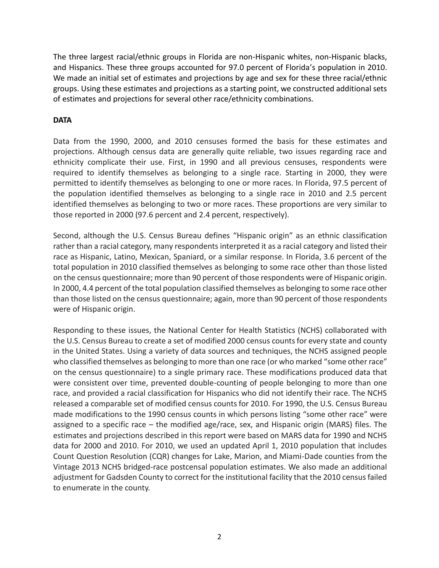The three largest racial/ethnic groups in Florida are non-Hispanic whites, non-Hispanic blacks, and Hispanics. These three groups accounted for 97.0 percent of Florida's population in 2010. We made an initial set of estimates and projections by age and sex for these three racial/ethnic groups. Using these estimates and projections as a starting point, we constructed additional sets of estimates and projections for several other race/ethnicity combinations.

## **DATA**

Data from the 1990, 2000, and 2010 censuses formed the basis for these estimates and projections. Although census data are generally quite reliable, two issues regarding race and ethnicity complicate their use. First, in 1990 and all previous censuses, respondents were required to identify themselves as belonging to a single race. Starting in 2000, they were permitted to identify themselves as belonging to one or more races. In Florida, 97.5 percent of the population identified themselves as belonging to a single race in 2010 and 2.5 percent identified themselves as belonging to two or more races. These proportions are very similar to those reported in 2000 (97.6 percent and 2.4 percent, respectively).

Second, although the U.S. Census Bureau defines "Hispanic origin" as an ethnic classification rather than a racial category, many respondents interpreted it as a racial category and listed their race as Hispanic, Latino, Mexican, Spaniard, or a similar response. In Florida, 3.6 percent of the total population in 2010 classified themselves as belonging to some race other than those listed on the census questionnaire; more than 90 percent of those respondents were of Hispanic origin. In 2000, 4.4 percent of the total population classified themselves as belonging to some race other than those listed on the census questionnaire; again, more than 90 percent of those respondents were of Hispanic origin.

Responding to these issues, the National Center for Health Statistics (NCHS) collaborated with the U.S. Census Bureau to create a set of modified 2000 census counts for every state and county in the United States. Using a variety of data sources and techniques, the NCHS assigned people who classified themselves as belonging to more than one race (or who marked "some other race" on the census questionnaire) to a single primary race. These modifications produced data that were consistent over time, prevented double-counting of people belonging to more than one race, and provided a racial classification for Hispanics who did not identify their race. The NCHS released a comparable set of modified census counts for 2010. For 1990, the U.S. Census Bureau made modifications to the 1990 census counts in which persons listing "some other race" were assigned to a specific race – the modified age/race, sex, and Hispanic origin (MARS) files. The estimates and projections described in this report were based on MARS data for 1990 and NCHS data for 2000 and 2010. For 2010, we used an updated April 1, 2010 population that includes Count Question Resolution (CQR) changes for Lake, Marion, and Miami-Dade counties from the Vintage 2013 NCHS bridged-race postcensal population estimates. We also made an additional adjustment for Gadsden County to correct for the institutional facility that the 2010 census failed to enumerate in the county.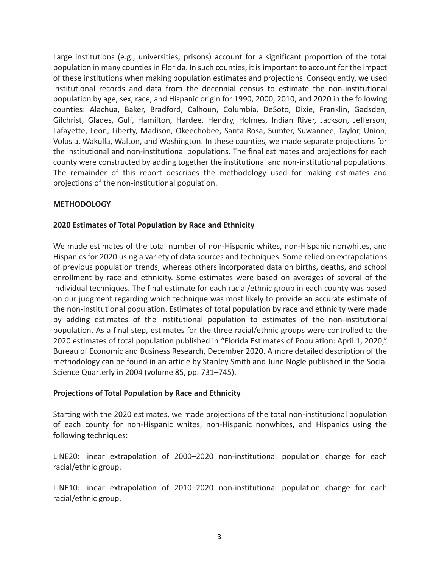Large institutions (e.g., universities, prisons) account for a significant proportion of the total population in many counties in Florida. In such counties, it is important to account for the impact of these institutions when making population estimates and projections. Consequently, we used institutional records and data from the decennial census to estimate the non-institutional population by age, sex, race, and Hispanic origin for 1990, 2000, 2010, and 2020 in the following counties: Alachua, Baker, Bradford, Calhoun, Columbia, DeSoto, Dixie, Franklin, Gadsden, Gilchrist, Glades, Gulf, Hamilton, Hardee, Hendry, Holmes, Indian River, Jackson, Jefferson, Lafayette, Leon, Liberty, Madison, Okeechobee, Santa Rosa, Sumter, Suwannee, Taylor, Union, Volusia, Wakulla, Walton, and Washington. In these counties, we made separate projections for the institutional and non-institutional populations. The final estimates and projections for each county were constructed by adding together the institutional and non-institutional populations. The remainder of this report describes the methodology used for making estimates and projections of the non-institutional population.

#### **METHODOLOGY**

## **2020 Estimates of Total Population by Race and Ethnicity**

We made estimates of the total number of non-Hispanic whites, non-Hispanic nonwhites, and Hispanics for 2020 using a variety of data sources and techniques. Some relied on extrapolations of previous population trends, whereas others incorporated data on births, deaths, and school enrollment by race and ethnicity. Some estimates were based on averages of several of the individual techniques. The final estimate for each racial/ethnic group in each county was based on our judgment regarding which technique was most likely to provide an accurate estimate of the non-institutional population. Estimates of total population by race and ethnicity were made by adding estimates of the institutional population to estimates of the non-institutional population. As a final step, estimates for the three racial/ethnic groups were controlled to the 2020 estimates of total population published in "Florida Estimates of Population: April 1, 2020," Bureau of Economic and Business Research, December 2020. A more detailed description of the methodology can be found in an article by Stanley Smith and June Nogle published in the Social Science Quarterly in 2004 (volume 85, pp. 731–745).

#### **Projections of Total Population by Race and Ethnicity**

Starting with the 2020 estimates, we made projections of the total non-institutional population of each county for non-Hispanic whites, non-Hispanic nonwhites, and Hispanics using the following techniques:

LINE20: linear extrapolation of 2000–2020 non-institutional population change for each racial/ethnic group.

LINE10: linear extrapolation of 2010–2020 non-institutional population change for each racial/ethnic group.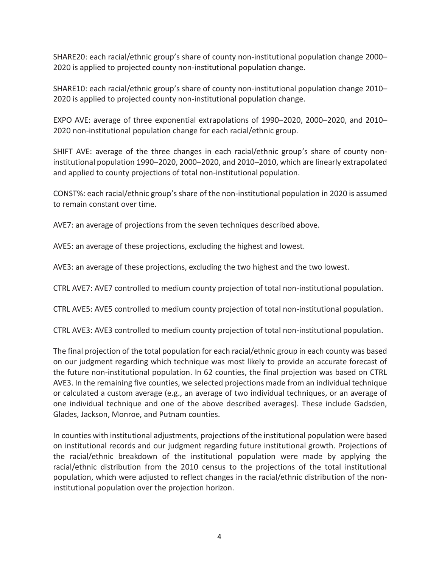SHARE20: each racial/ethnic group's share of county non-institutional population change 2000– 2020 is applied to projected county non-institutional population change.

SHARE10: each racial/ethnic group's share of county non-institutional population change 2010– 2020 is applied to projected county non-institutional population change.

EXPO AVE: average of three exponential extrapolations of 1990–2020, 2000–2020, and 2010– 2020 non-institutional population change for each racial/ethnic group.

SHIFT AVE: average of the three changes in each racial/ethnic group's share of county noninstitutional population 1990–2020, 2000–2020, and 2010–2010, which are linearly extrapolated and applied to county projections of total non-institutional population.

CONST%: each racial/ethnic group's share of the non-institutional population in 2020 is assumed to remain constant over time.

AVE7: an average of projections from the seven techniques described above.

AVE5: an average of these projections, excluding the highest and lowest.

AVE3: an average of these projections, excluding the two highest and the two lowest.

CTRL AVE7: AVE7 controlled to medium county projection of total non-institutional population.

CTRL AVE5: AVE5 controlled to medium county projection of total non-institutional population.

CTRL AVE3: AVE3 controlled to medium county projection of total non-institutional population.

The final projection of the total population for each racial/ethnic group in each county was based on our judgment regarding which technique was most likely to provide an accurate forecast of the future non-institutional population. In 62 counties, the final projection was based on CTRL AVE3. In the remaining five counties, we selected projections made from an individual technique or calculated a custom average (e.g., an average of two individual techniques, or an average of one individual technique and one of the above described averages). These include Gadsden, Glades, Jackson, Monroe, and Putnam counties.

In counties with institutional adjustments, projections of the institutional population were based on institutional records and our judgment regarding future institutional growth. Projections of the racial/ethnic breakdown of the institutional population were made by applying the racial/ethnic distribution from the 2010 census to the projections of the total institutional population, which were adjusted to reflect changes in the racial/ethnic distribution of the noninstitutional population over the projection horizon.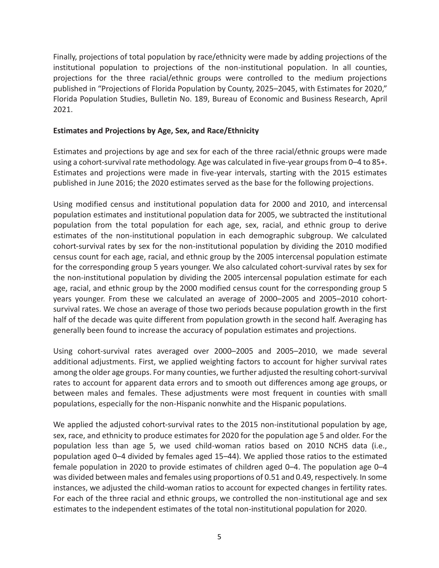Finally, projections of total population by race/ethnicity were made by adding projections of the institutional population to projections of the non-institutional population. In all counties, projections for the three racial/ethnic groups were controlled to the medium projections published in "Projections of Florida Population by County, 2025–2045, with Estimates for 2020," Florida Population Studies, Bulletin No. 189, Bureau of Economic and Business Research, April 2021.

## **Estimates and Projections by Age, Sex, and Race/Ethnicity**

Estimates and projections by age and sex for each of the three racial/ethnic groups were made using a cohort-survival rate methodology. Age was calculated in five-year groups from 0–4 to 85+. Estimates and projections were made in five-year intervals, starting with the 2015 estimates published in June 2016; the 2020 estimates served as the base for the following projections.

Using modified census and institutional population data for 2000 and 2010, and intercensal population estimates and institutional population data for 2005, we subtracted the institutional population from the total population for each age, sex, racial, and ethnic group to derive estimates of the non-institutional population in each demographic subgroup. We calculated cohort-survival rates by sex for the non-institutional population by dividing the 2010 modified census count for each age, racial, and ethnic group by the 2005 intercensal population estimate for the corresponding group 5 years younger. We also calculated cohort-survival rates by sex for the non-institutional population by dividing the 2005 intercensal population estimate for each age, racial, and ethnic group by the 2000 modified census count for the corresponding group 5 years younger. From these we calculated an average of 2000–2005 and 2005–2010 cohortsurvival rates. We chose an average of those two periods because population growth in the first half of the decade was quite different from population growth in the second half. Averaging has generally been found to increase the accuracy of population estimates and projections.

Using cohort-survival rates averaged over 2000–2005 and 2005–2010, we made several additional adjustments. First, we applied weighting factors to account for higher survival rates among the older age groups. For many counties, we further adjusted the resulting cohort-survival rates to account for apparent data errors and to smooth out differences among age groups, or between males and females. These adjustments were most frequent in counties with small populations, especially for the non-Hispanic nonwhite and the Hispanic populations.

We applied the adjusted cohort-survival rates to the 2015 non-institutional population by age, sex, race, and ethnicity to produce estimates for 2020 for the population age 5 and older. For the population less than age 5, we used child-woman ratios based on 2010 NCHS data (i.e., population aged 0–4 divided by females aged 15–44). We applied those ratios to the estimated female population in 2020 to provide estimates of children aged 0–4. The population age 0–4 was divided between males and females using proportions of 0.51 and 0.49, respectively. In some instances, we adjusted the child-woman ratios to account for expected changes in fertility rates. For each of the three racial and ethnic groups, we controlled the non-institutional age and sex estimates to the independent estimates of the total non-institutional population for 2020.